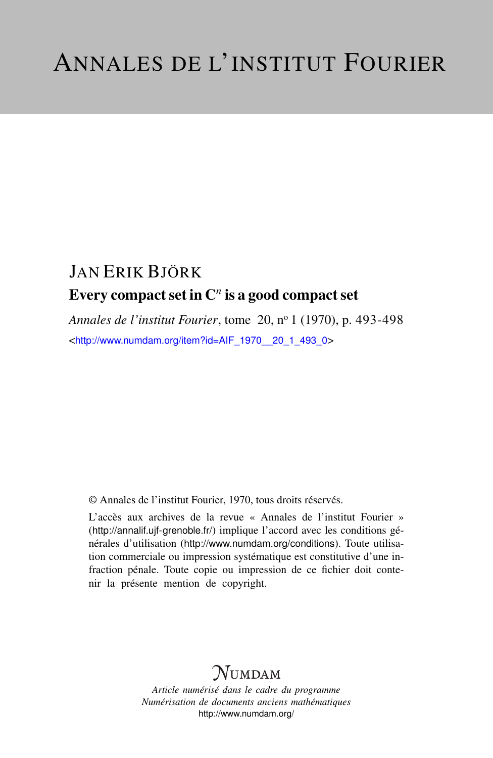# JAN ERIK BJÖRK Every compact set in C*<sup>n</sup>* is a good compact set

*Annales de l'institut Fourier*, tome 20, n<sup>o</sup> 1 (1970), p. 493-498 <[http://www.numdam.org/item?id=AIF\\_1970\\_\\_20\\_1\\_493\\_0](http://www.numdam.org/item?id=AIF_1970__20_1_493_0)>

© Annales de l'institut Fourier, 1970, tous droits réservés.

L'accès aux archives de la revue « Annales de l'institut Fourier » (<http://annalif.ujf-grenoble.fr/>) implique l'accord avec les conditions générales d'utilisation (<http://www.numdam.org/conditions>). Toute utilisation commerciale ou impression systématique est constitutive d'une infraction pénale. Toute copie ou impression de ce fichier doit contenir la présente mention de copyright.

# NUMDAM

*Article numérisé dans le cadre du programme Numérisation de documents anciens mathématiques* <http://www.numdam.org/>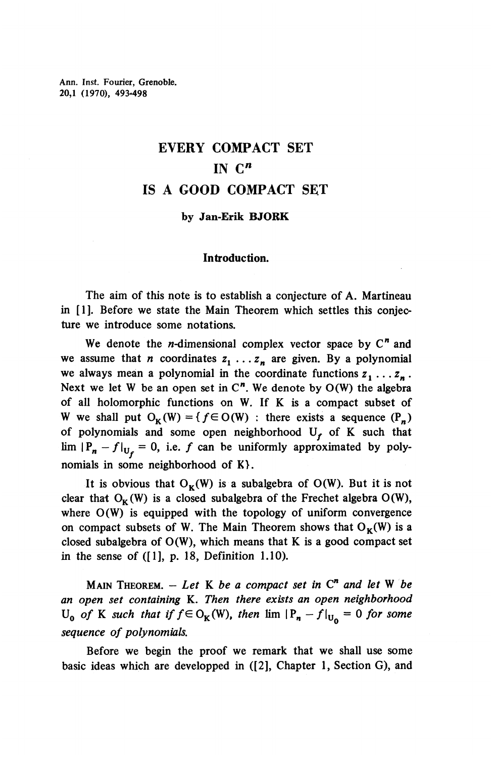Ann. Inst. Fourier, Grenoble. 20,1 (1970), 493-498

# **EVERY COMPACT SET IN C"**

# **IS A GOOD COMPACT SET**

### **by Jan-Erik BJORK**

### **Introduction.**

The aim of this note is to establish a conjecture of A. Martineau in [1]. Before we state the Main Theorem which settles this conjecture we introduce some notations.

We denote the *n*-dimensional complex vector space by  $C<sup>n</sup>$  and we assume that *n* coordinates  $z_1 \ldots z_n$  are given. By a polynomial we always mean a polynomial in the coordinate functions  $z_1 \ldots z_n$ . Next we let W be an open set in  $C<sup>n</sup>$ . We denote by  $O(W)$  the algebra of all holomorphic functions on W. If K is a compact subset of W we shall put  $O_K(W) = {f \in O(W)}$  : there exists a sequence  $(P_n)$ of polynomials and some open neighborhood  $U_f$  of K such that lim  $|P_{n} - f|_{U_{\tau}} = 0$ , i.e. f can be uniformly approximated by polynomials in some neighborhood of K}.

It is obvious that  $O_K(W)$  is a subalgebra of  $O(W)$ . But it is not clear that  $O_K(W)$  is a closed subalgebra of the Frechet algebra O(W), where 0(W) is equipped with the topology of uniform convergence on compact subsets of W. The Main Theorem shows that  $O_K(W)$  is a closed subalgebra of  $O(W)$ , which means that K is a good compact set in the sense of  $([1], p. 18, Definition 1.10)$ .

MAIN THEOREM. - *Let K be a compact set in* C" *and let* W *be an open set containing* K. *Then there exists an open neighborhood*  $U_0$  *of* K *such that if*  $f \in O_K(W)$ *, then*  $\lim |P_n - f|_{U_0} = 0$  for some *sequence of polynomials.*

Before we begin the proof we remark that we shall use some basic ideas which are developped in ([2], Chapter 1, Section G), and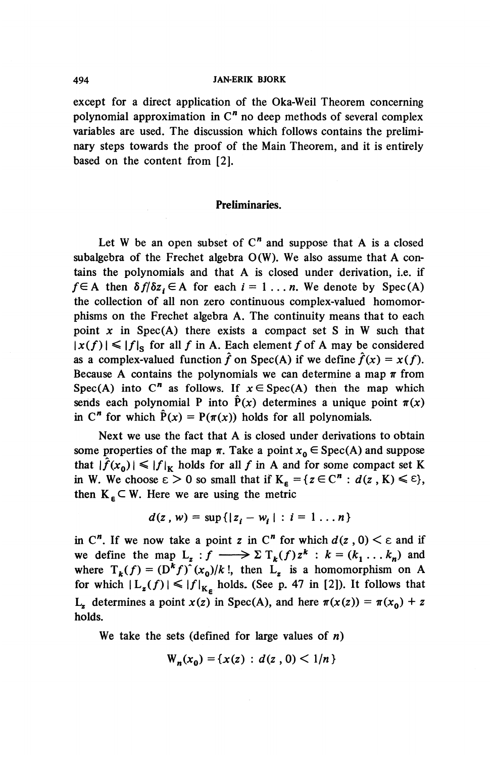#### 494 JAN-ERIK BJORK

except for a direct application of the Oka-Weil Theorem concerning polynomial approximation in  $\mathbb{C}^n$  no deep methods of several complex variables are used. The discussion which follows contains the preliminary steps towards the proof of the Main Theorem, and it is entirely based on the content from [2].

# **Preliminaries.**

Let W be an open subset of  $C<sup>n</sup>$  and suppose that A is a closed subalgebra of the Frechet algebra 0(W). We also assume that A contains the polynomials and that A is closed under derivation, i.e. if  $f \in A$  then  $\delta f/\delta z_i \in A$  for each  $i = 1 ... n$ . We denote by Spec (A) the collection of all non zero continuous complex-valued homomorphisms on the Frechet algebra A. The continuity means that to each point  $x$  in Spec $(A)$  there exists a compact set S in W such that  $|x(f)| \le |f|$ <sub>S</sub> for all f in A. Each element f of A may be considered as a complex-valued function  $\hat{f}$  on Spec(A) if we define  $\hat{f}(x) = x(f)$ . Because A contains the polynomials we can determine a map  $\pi$  from Spec(A) into C<sup>n</sup> as follows. If  $x \in \text{Spec}(A)$  then the map which sends each polynomial P into  $\hat{P}(x)$  determines a unique point  $\pi(x)$ in C<sup>n</sup> for which  $\hat{P}(x) = P(\pi(x))$  holds for all polynomials.

Next we use the fact that A is closed under derivations to obtain some properties of the map  $\pi$ . Take a point  $x_0 \in \text{Spec}(A)$  and suppose that  $|\hat{f}(x_0)| \leq |f|_K$  holds for all f in A and for some compact set K in W. We choose  $\epsilon > 0$  so small that if  $K_{\epsilon} = \{z \in C^n : d(z, K) \leq \epsilon\},\$ then  $K_{\epsilon} \subset W$ . Here we are using the metric<br>  $d(z, w) = \sup\{|z_i - w_i| : i = 1 \dots n\}$ 

$$
d(z, w) = \sup\{|z_i - w_i| : i = 1 \dots n\}
$$

in C<sup>n</sup>. If we now take a point z in C<sup>n</sup> for which  $d(z, 0) < \varepsilon$  and if we define the map  $L_z : f \longrightarrow \Sigma T_k(f) z^k : k = (k_1 \dots k_n)$  and where  $T_k(f) = (D^k f)^T(x_0)/k!$ , then  $\overline{L}_z$  is a homomorphism on A for which  $|L_z(f)| \le |f|_{K_z}$  holds. (See p. 47 in [2]). It follows that  $L_z$  determines a point  $x(z)$  in Spec(A), and here  $\pi(x(z)) = \pi(x_0) + z$ holds.

We take the sets (defined for large values of *n)*

$$
W_n(x_0) = \{x(z) : d(z, 0) < 1/n\}
$$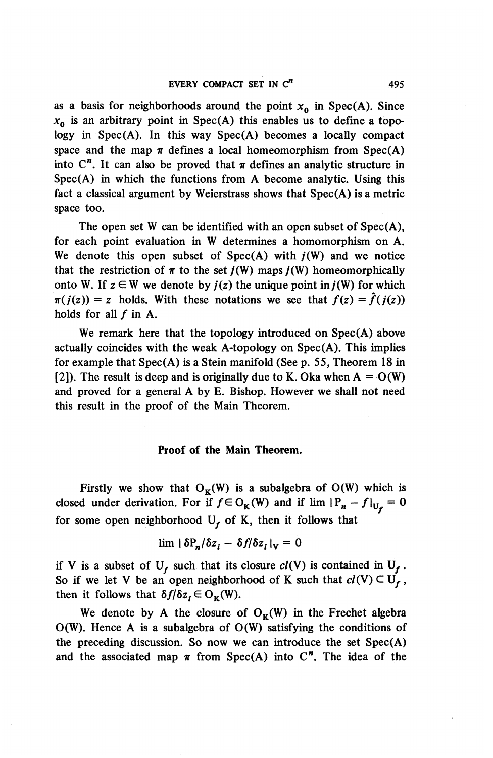as a basis for neighborhoods around the point  $x_0$  in Spec(A). Since  $x_0$  is an arbitrary point in Spec(A) this enables us to define a topology in  $Spec(A)$ . In this way  $Spec(A)$  becomes a locally compact space and the map  $\pi$  defines a local homeomorphism from Spec(A) into  $C<sup>n</sup>$ . It can also be proved that  $\pi$  defines an analytic structure in  $Spec(A)$  in which the functions from A become analytic. Using this fact a classical argument by Weierstrass shows that  $Spec(A)$  is a metric space too.

The open set W can be identified with an open subset of Spec(A), for each point evaluation in W determines a homomorphism on A. We denote this open subset of  $Spec(A)$  with  $j(W)$  and we notice that the restriction of  $\pi$  to the set  $j(W)$  maps  $j(W)$  homeomorphically onto W. If  $z \in W$  we denote by  $j(z)$  the unique point in  $j(W)$  for which  $\pi(j(z)) = z$  holds. With these notations we see that  $f(z) = \hat{f}(j(z))$ holds for all  $f$  in A.

We remark here that the topology introduced on  $Spec(A)$  above actually coincides with the weak A-topology on  $Spec(A)$ . This implies for example that Spec(A) is a Stein manifold (See p. 55, Theorem 18 in [2]). The result is deep and is originally due to K. Oka when  $A = O(W)$ and proved for a general A by E. Bishop. However we shall not need this result in the proof of the Main Theorem.

# **Proof of the Main Theorem.**

Firstly we show that  $O_K(W)$  is a subalgebra of O(W) which is closed under derivation. For if  $f \in O_K(W)$  and if  $\lim |P_n - f|_{U_f} = 0$ for some open neighborhood  $U_{\epsilon}$  of K, then it follows that

$$
\lim_{t \to \infty} |\delta P_n / \delta z_i - \delta f / \delta z_i|_{V} = 0
$$

if V is a subset of  $U_f$  such that its closure  $cl(V)$  is contained in  $U_f$ . So if we let V be an open neighborhood of K such that  $cl(V) \subset U_f$ , then it follows that  $\delta f/\delta z_i \in O_K(W)$ .

We denote by A the closure of  $O_K(W)$  in the Frechet algebra  $O(W)$ . Hence A is a subalgebra of  $O(W)$  satisfying the conditions of the preceding discussion. So now we can introduce the set  $Spec(A)$ and the associated map  $\pi$  from Spec(A) into C<sup>n</sup>. The idea of the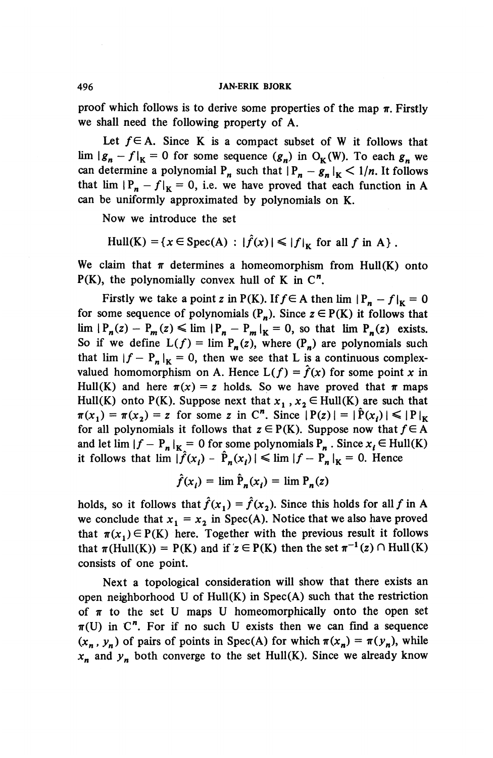### 496 JAN-ERIK BJORK

proof which follows is to derive some properties of the map  $\pi$ . Firstly we shall need the following property of A.

Let  $f \in A$ . Since K is a compact subset of W it follows that  $\lim |g_n - f|_K = 0$  for some sequence  $(g_n)$  in  $O_K(W)$ . To each g<sub>n</sub> we lim  $|g_n - f|_K = 0$  for some sequence  $(g_n)$  in  $O_K(W)$ . To each  $g_n$  we can determine a polynomial  $P_n$  such that  $|P_n - g_n|_K < 1/n$ . It follows can determine a polynomial  $P_n$  such that  $|P_n - g_n|_K < 1/n$ . It follows that  $\lim |P_n - f|_K = 0$ , i.e. we have proved that each function in A can be uniformly approximated by polynomials on K.

Now we introduce the set

Hull(K) = {
$$
x \in \text{Spec}(A) : |\hat{f}(x)| \leq |f|_K
$$
 for all f in A}.

We claim that  $\pi$  determines a homeomorphism from Hull(K) onto  $P(K)$ , the polynomially convex hull of K in  $C^n$ .

Firstly we take a point z in P(K). If  $f \in A$  then  $\lim |P_n - f|_K = 0$ for some sequence of polynomials  $(P_n)$ . Since  $z \in P(K)$  it follows that  $\lim |P_n(z) - P_m(z)| \leq \lim |P_n - P_m|_K = 0$ , so that  $\lim P_n(z)$  exists.  $\lim |P_n(z) - P_m(z) \le \lim |P_n - P_m|_K = 0$ , so that  $\lim P_n(z)$  exists.<br>So if we define  $L(f) = \lim P_n(z)$ , where  $(P_n)$  are polynomials such that lim  $|f - P_n|_K = 0$ , then we see that L is a continuous complexvalued homomorphism on A. Hence  $L(f) = \hat{f}(x)$  for some point x in Hull(K) and here  $\pi(x) = z$  holds. So we have proved that  $\pi$  maps Hull(K) onto P(K). Suppose next that  $x_1, x_2 \in Hull(K)$  are such that  $\pi(x_1) = \pi(x_2) = z$  for some z in C<sup>n</sup>. Since  $|P(z)| = |\hat{P}(x_i)| \leq |P|_K$ for all polynomials it follows that  $z \in P(K)$ . Suppose now that  $f \in A$ and let  $\lim |f - P_n|_K = 0$  for some polynomials  $P_n$ . Since  $x_i \in Hull(K)$ it follows that  $\lim |\hat{f}(x_i) - \hat{P}_n(x_i)| \leq \lim |f - P_n|_K = 0$ . Hence

$$
\hat{f}(x_i) = \lim \hat{P}_n(x_i) = \lim P_n(z)
$$

holds, so it follows that  $\hat{f}(x_1) = \hat{f}(x_2)$ . Since this holds for all f in A we conclude that  $x_1 = x_2$  in Spec(A). Notice that we also have proved that  $\pi(x_i) \in P(K)$  here. Together with the previous result it follows that  $\pi$ (Hull(K)) = P(K) and if  $z \in P(K)$  then the set  $\pi^{-1}(z) \cap Hull(K)$ consists of one point.

Next a topological consideration will show that there exists an open neighborhood U of  $Hull(K)$  in  $Spec(A)$  such that the restriction of  $\pi$  to the set U maps U homeomorphically onto the open set  $\pi(U)$  in  $\mathbb{C}^n$ . For if no such U exists then we can find a sequence  $(x_n, y_n)$  of pairs of points in Spec(A) for which  $\pi(x_n) = \pi(y_n)$ , while  $x_n$  and  $y_n$  both converge to the set Hull(K). Since we already know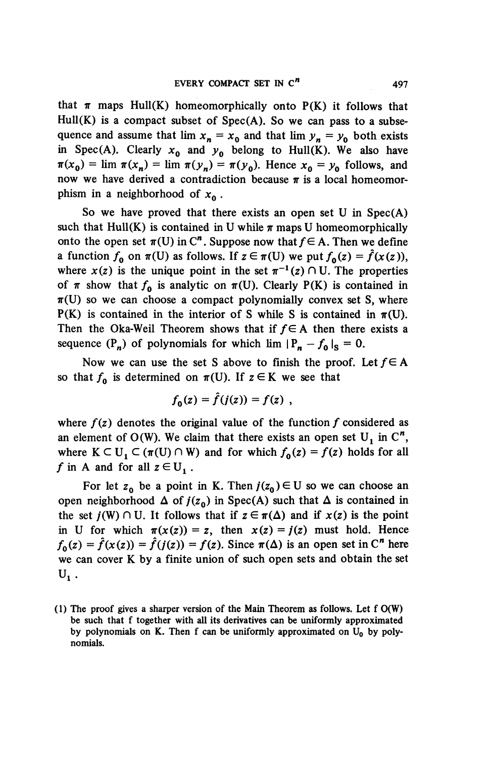that  $\pi$  maps Hull(K) homeomorphically onto P(K) it follows that  $Hull(K)$  is a compact subset of  $Spec(A)$ . So we can pass to a subsequence and assume that lim  $x_n = x_0$  and that lim  $y_n = y_0$  both exists in Spec(A). Clearly  $x_0$  and  $y_0$  belong to Hull(K). We also have  $\pi(x_0) = \lim \pi(x_n) = \lim \pi(y_n) = \pi(y_0)$ . Hence  $x_0 = y_0$  follows, and now we have derived a contradiction because  $\pi$  is a local homeomorphism in a neighborhood of  $x_0$ .

So we have proved that there exists an open set U in  $Spec(A)$ such that Hull(K) is contained in U while  $\pi$  maps U homeomorphically onto the open set  $\pi(U)$  in C<sup>n</sup>. Suppose now that  $f \in A$ . Then we define a function  $f_0$  on  $\pi(U)$  as follows. If  $z \in \pi(U)$  we put  $f_0(z) = \hat{f}(x(z))$ , where  $x(z)$  is the unique point in the set  $\pi^{-1}(z) \cap U$ . The properties of  $\pi$  show that  $f_0$  is analytic on  $\pi(U)$ . Clearly P(K) is contained in  $\pi(U)$  so we can choose a compact polynomially convex set S, where  $P(K)$  is contained in the interior of S while S is contained in  $\pi(U)$ . Then the Oka-Weil Theorem shows that if  $f \in A$  then there exists a sequence  $(P_n)$  of polynomials for which  $\lim |P_n - f_0|_{S} = 0$ .

Now we can use the set S above to finish the proof. Let  $f \in A$ so that  $f_0$  is determined on  $\pi(U)$ . If  $z \in K$  we see that

$$
f_{0}(z) = \hat{f}(j(z)) = f(z) ,
$$

where  $f(z)$  denotes the original value of the function f considered as an element of  $O(W)$ . We claim that there exists an open set U<sub>1</sub> in  $C<sup>n</sup>$ , where  $K \subset U_1 \subset (\pi(U) \cap W)$  and for which  $f_0(z) = f(z)$  holds for all f in A and for all  $z \in U_1$ .

For let  $z_0$  be a point in K. Then  $j(z_0) \in U$  so we can choose an open neighborhood  $\Delta$  of  $j(z_0)$  in Spec(A) such that  $\Delta$  is contained in the set  $j(W) \cap U$ . It follows that if  $z \in \pi(\Delta)$  and if  $x(z)$  is the point in U for which  $\pi(x(z)) = z$ , then  $x(z) = j(z)$  must hold. Hence  $f_0(z) = \hat{f}(x(z)) = \hat{f}(j(z)) = f(z)$ . Since  $\pi(\Delta)$  is an open set in C<sup>n</sup> here we can cover K by a finite union of such open sets and obtain the set  $U_{1}$ .

(1) The proof gives a sharper version of the Main Theorem as follows. Let f 0(W) be such that f together with all its derivatives can be uniformly approximated by polynomials on K. Then f can be uniformly approximated on  $U_0$  by polynomials.